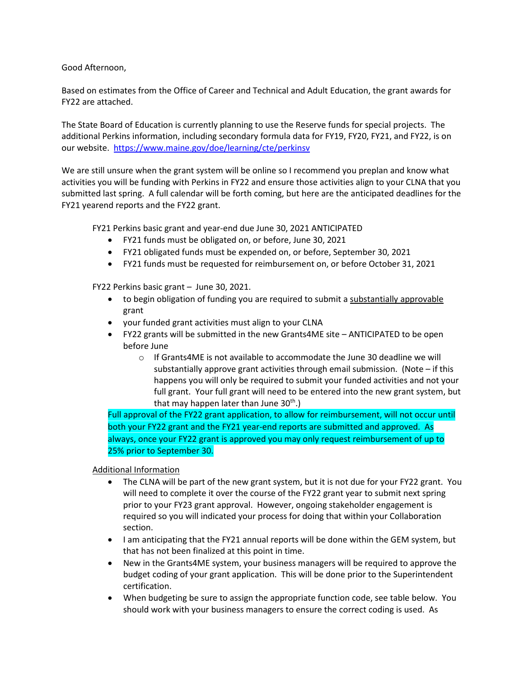Good Afternoon,

Based on estimates from the Office of Career and Technical and Adult Education, the grant awards for FY22 are attached.

The State Board of Education is currently planning to use the Reserve funds for special projects. The additional Perkins information, including secondary formula data for FY19, FY20, FY21, and FY22, is on our website. <https://www.maine.gov/doe/learning/cte/perkinsv>

We are still unsure when the grant system will be online so I recommend you preplan and know what activities you will be funding with Perkins in FY22 and ensure those activities align to your CLNA that you submitted last spring. A full calendar will be forth coming, but here are the anticipated deadlines for the FY21 yearend reports and the FY22 grant.

FY21 Perkins basic grant and year-end due June 30, 2021 ANTICIPATED

- FY21 funds must be obligated on, or before, June 30, 2021
- FY21 obligated funds must be expended on, or before, September 30, 2021
- FY21 funds must be requested for reimbursement on, or before October 31, 2021

FY22 Perkins basic grant – June 30, 2021.

- to begin obligation of funding you are required to submit a substantially approvable grant
- your funded grant activities must align to your CLNA
- FY22 grants will be submitted in the new Grants4ME site ANTICIPATED to be open before June
	- o If Grants4ME is not available to accommodate the June 30 deadline we will substantially approve grant activities through email submission. (Note  $-$  if this happens you will only be required to submit your funded activities and not your full grant. Your full grant will need to be entered into the new grant system, but that may happen later than June  $30<sup>th</sup>$ .)

Full approval of the FY22 grant application, to allow for reimbursement, will not occur until both your FY22 grant and the FY21 year-end reports are submitted and approved. As always, once your FY22 grant is approved you may only request reimbursement of up to 25% prior to September 30.

Additional Information

- The CLNA will be part of the new grant system, but it is not due for your FY22 grant. You will need to complete it over the course of the FY22 grant year to submit next spring prior to your FY23 grant approval. However, ongoing stakeholder engagement is required so you will indicated your process for doing that within your Collaboration section.
- I am anticipating that the FY21 annual reports will be done within the GEM system, but that has not been finalized at this point in time.
- New in the Grants4ME system, your business managers will be required to approve the budget coding of your grant application. This will be done prior to the Superintendent certification.
- When budgeting be sure to assign the appropriate function code, see table below. You should work with your business managers to ensure the correct coding is used. As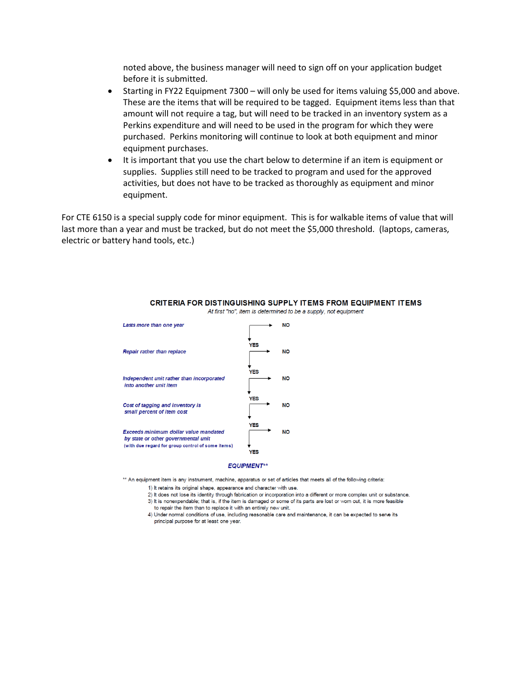noted above, the business manager will need to sign off on your application budget before it is submitted.

- Starting in FY22 Equipment 7300 will only be used for items valuing \$5,000 and above. These are the items that will be required to be tagged. Equipment items less than that amount will not require a tag, but will need to be tracked in an inventory system as a Perkins expenditure and will need to be used in the program for which they were purchased. Perkins monitoring will continue to look at both equipment and minor equipment purchases.
- It is important that you use the chart below to determine if an item is equipment or supplies. Supplies still need to be tracked to program and used for the approved activities, but does not have to be tracked as thoroughly as equipment and minor equipment.

For CTE 6150 is a special supply code for minor equipment. This is for walkable items of value that will last more than a year and must be tracked, but do not meet the \$5,000 threshold. (laptops, cameras, electric or battery hand tools, etc.)



## CRITERIA FOR DISTINGUISHING SUPPLY ITEMS FROM EQUIPMENT ITEMS At first "no", item is determined to be a supply, not equipment

## **EQUIPMENT\*\***

\*\* An equipment item is any instrument, machine, apparatus or set of articles that meets all of the following criteria:

1) It retains its original shape, appearance and character with use.

2) It does not lose its identity through fabrication or incorporation into a different or more complex unit or substance.

3) It is nonexpendable; that is, if the item is damaged or some of its parts are lost or worn out, it is more feasible to repair the item than to replace it with an entirely new unit.

4) Under normal conditions of use, including reasonable care and maintenance, it can be expected to serve its principal purpose for at least one year.